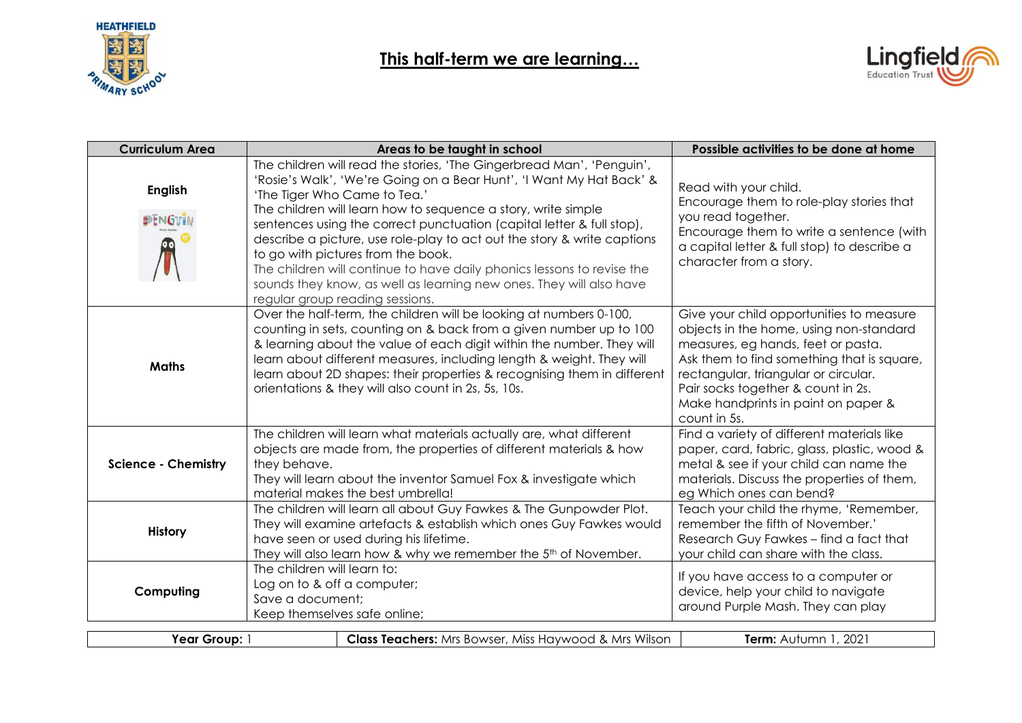



| <b>Curriculum Area</b>     | Areas to be taught in school                                                                                                                                                                                                                                                                                                                                                                                                                                                                                                                                                                                                 | Possible activities to be done at home                                                                                                                                                                                                                                                                       |
|----------------------------|------------------------------------------------------------------------------------------------------------------------------------------------------------------------------------------------------------------------------------------------------------------------------------------------------------------------------------------------------------------------------------------------------------------------------------------------------------------------------------------------------------------------------------------------------------------------------------------------------------------------------|--------------------------------------------------------------------------------------------------------------------------------------------------------------------------------------------------------------------------------------------------------------------------------------------------------------|
| <b>English</b><br>PENGUIA  | The children will read the stories, 'The Gingerbread Man', 'Penguin',<br>'Rosie's Walk', 'We're Going on a Bear Hunt', 'I Want My Hat Back' &<br>'The Tiger Who Came to Tea.'<br>The children will learn how to sequence a story, write simple<br>sentences using the correct punctuation (capital letter & full stop),<br>describe a picture, use role-play to act out the story & write captions<br>to go with pictures from the book.<br>The children will continue to have daily phonics lessons to revise the<br>sounds they know, as well as learning new ones. They will also have<br>regular group reading sessions. | Read with your child.<br>Encourage them to role-play stories that<br>you read together.<br>Encourage them to write a sentence (with<br>a capital letter & full stop) to describe a<br>character from a story.                                                                                                |
| <b>Maths</b>               | Over the half-term, the children will be looking at numbers 0-100,<br>counting in sets, counting on & back from a given number up to 100<br>& learning about the value of each digit within the number. They will<br>learn about different measures, including length & weight. They will<br>learn about 2D shapes: their properties & recognising them in different<br>orientations & they will also count in 2s, 5s, 10s.                                                                                                                                                                                                  | Give your child opportunities to measure<br>objects in the home, using non-standard<br>measures, eg hands, feet or pasta.<br>Ask them to find something that is square,<br>rectangular, triangular or circular.<br>Pair socks together & count in 2s.<br>Make handprints in paint on paper &<br>count in 5s. |
| <b>Science - Chemistry</b> | The children will learn what materials actually are, what different<br>objects are made from, the properties of different materials & how<br>they behave.<br>They will learn about the inventor Samuel Fox & investigate which<br>material makes the best umbrella!                                                                                                                                                                                                                                                                                                                                                          | Find a variety of different materials like<br>paper, card, fabric, glass, plastic, wood &<br>metal & see if your child can name the<br>materials. Discuss the properties of them,<br>eg Which ones can bend?                                                                                                 |
| <b>History</b>             | The children will learn all about Guy Fawkes & The Gunpowder Plot.<br>They will examine artefacts & establish which ones Guy Fawkes would<br>have seen or used during his lifetime.<br>They will also learn how & why we remember the 5 <sup>th</sup> of November.                                                                                                                                                                                                                                                                                                                                                           | Teach your child the rhyme, 'Remember,<br>remember the fifth of November.'<br>Research Guy Fawkes - find a fact that<br>your child can share with the class.                                                                                                                                                 |
| Computing                  | The children will learn to:<br>Log on to & off a computer;<br>Save a document;<br>Keep themselves safe online;                                                                                                                                                                                                                                                                                                                                                                                                                                                                                                               | If you have access to a computer or<br>device, help your child to navigate<br>around Purple Mash. They can play                                                                                                                                                                                              |
| Year Group: 1              | <b>Class Teachers:</b> Mrs Bowser, Miss Haywood & Mrs Wilson                                                                                                                                                                                                                                                                                                                                                                                                                                                                                                                                                                 | Term: Autumn 1, 2021                                                                                                                                                                                                                                                                                         |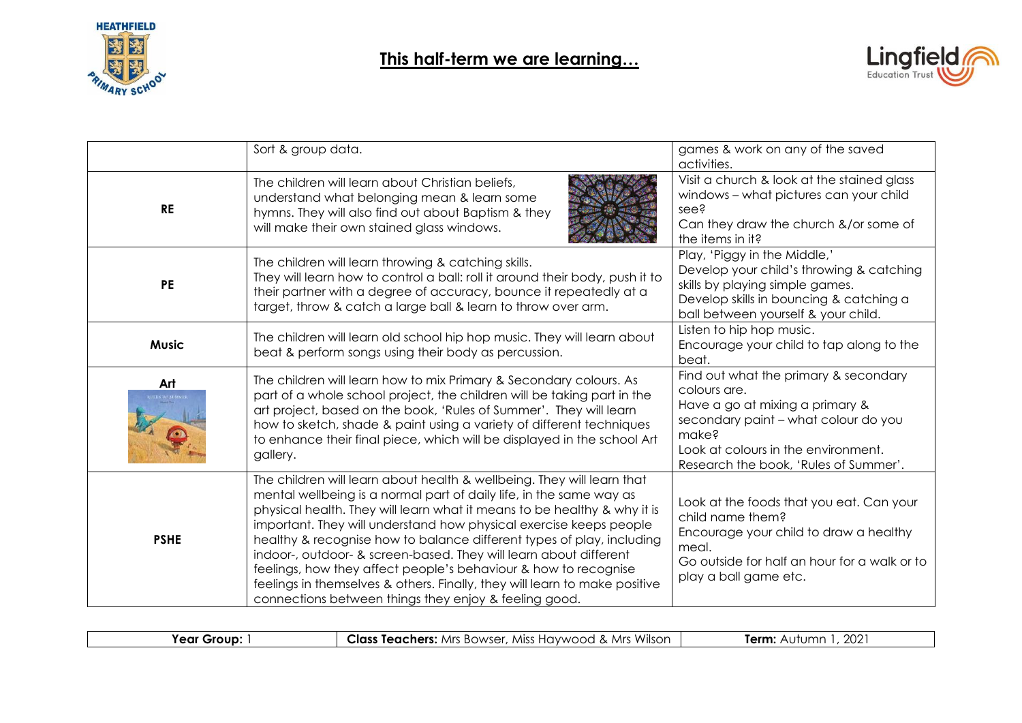



|                            | Sort & group data.                                                                                                                                                                                                                                                                                                                                                                                                                                                                                                                                                                                                                                      | games & work on any of the saved<br>activities.                                                                                                                                                                           |
|----------------------------|---------------------------------------------------------------------------------------------------------------------------------------------------------------------------------------------------------------------------------------------------------------------------------------------------------------------------------------------------------------------------------------------------------------------------------------------------------------------------------------------------------------------------------------------------------------------------------------------------------------------------------------------------------|---------------------------------------------------------------------------------------------------------------------------------------------------------------------------------------------------------------------------|
| <b>RE</b>                  | The children will learn about Christian beliefs,<br>understand what belonging mean & learn some<br>hymns. They will also find out about Baptism & they<br>will make their own stained glass windows.                                                                                                                                                                                                                                                                                                                                                                                                                                                    | Visit a church & look at the stained glass<br>windows - what pictures can your child<br>see?<br>Can they draw the church &/or some of<br>the items in it?                                                                 |
| <b>PE</b>                  | The children will learn throwing & catching skills.<br>They will learn how to control a ball: roll it around their body, push it to<br>their partner with a degree of accuracy, bounce it repeatedly at a<br>target, throw & catch a large ball & learn to throw over arm.                                                                                                                                                                                                                                                                                                                                                                              | Play, 'Piggy in the Middle,'<br>Develop your child's throwing & catching<br>skills by playing simple games.<br>Develop skills in bouncing & catching a<br>ball between yourself & your child.                             |
| <b>Music</b>               | The children will learn old school hip hop music. They will learn about<br>beat & perform songs using their body as percussion.                                                                                                                                                                                                                                                                                                                                                                                                                                                                                                                         | Listen to hip hop music.<br>Encourage your child to tap along to the<br>beat.                                                                                                                                             |
| Art<br><b>LES OF SUMME</b> | The children will learn how to mix Primary & Secondary colours. As<br>part of a whole school project, the children will be taking part in the<br>art project, based on the book, 'Rules of Summer'. They will learn<br>how to sketch, shade & paint using a variety of different techniques<br>to enhance their final piece, which will be displayed in the school Art<br>gallery.                                                                                                                                                                                                                                                                      | Find out what the primary & secondary<br>colours are.<br>Have a go at mixing a primary &<br>secondary paint - what colour do you<br>make?<br>Look at colours in the environment.<br>Research the book, 'Rules of Summer'. |
| <b>PSHE</b>                | The children will learn about health & wellbeing. They will learn that<br>mental wellbeing is a normal part of daily life, in the same way as<br>physical health. They will learn what it means to be healthy & why it is<br>important. They will understand how physical exercise keeps people<br>healthy & recognise how to balance different types of play, including<br>indoor-, outdoor- & screen-based. They will learn about different<br>feelings, how they affect people's behaviour & how to recognise<br>feelings in themselves & others. Finally, they will learn to make positive<br>connections between things they enjoy & feeling good. | Look at the foods that you eat. Can your<br>child name them?<br>Encourage your child to draw a healthy<br>meal.<br>Go outside for half an hour for a walk or to<br>play a ball game etc.                                  |

| Year<br>. Group: | <b>Class Teachers:</b> Mrs Bowser, Miss Haywood & Mrs Wilson | ּ ∩∩י<br>Term: .<br>ZUZ |
|------------------|--------------------------------------------------------------|-------------------------|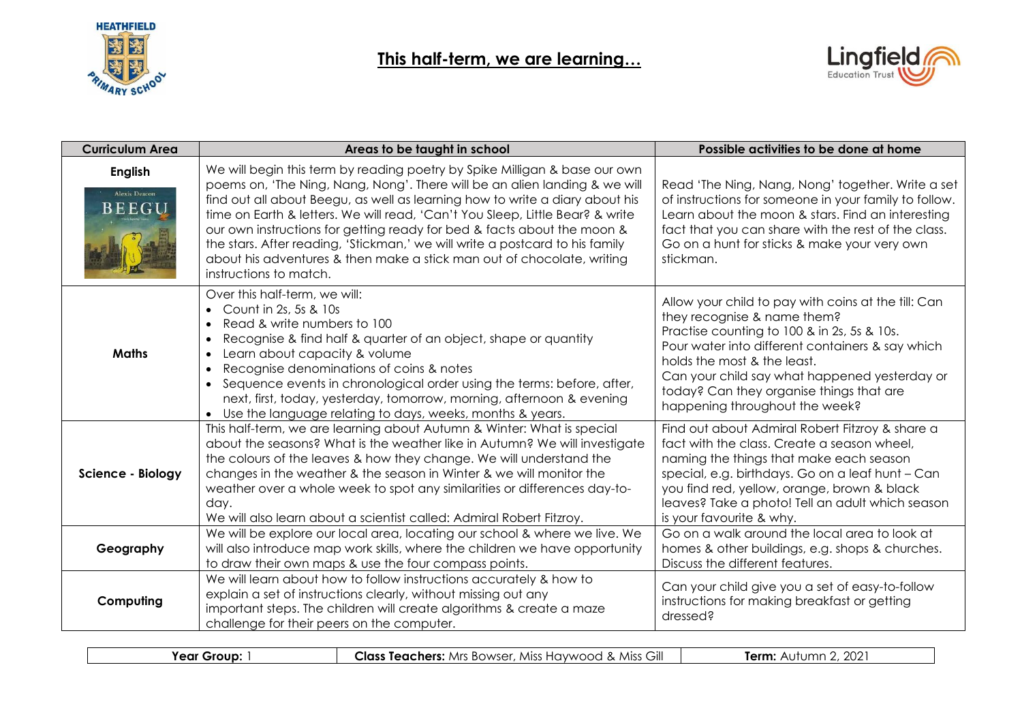



| <b>Curriculum Area</b>                                 | Areas to be taught in school                                                                                                                                                                                                                                                                                                                                                                                                                                                                                                                                                             | Possible activities to be done at home                                                                                                                                                                                                                                                                                                              |
|--------------------------------------------------------|------------------------------------------------------------------------------------------------------------------------------------------------------------------------------------------------------------------------------------------------------------------------------------------------------------------------------------------------------------------------------------------------------------------------------------------------------------------------------------------------------------------------------------------------------------------------------------------|-----------------------------------------------------------------------------------------------------------------------------------------------------------------------------------------------------------------------------------------------------------------------------------------------------------------------------------------------------|
| <b>English</b><br><b>Alexis Deacon</b><br><b>BEEGU</b> | We will begin this term by reading poetry by Spike Milligan & base our own<br>poems on, 'The Ning, Nang, Nong'. There will be an alien landing & we will<br>find out all about Beegu, as well as learning how to write a diary about his<br>time on Earth & letters. We will read, 'Can't You Sleep, Little Bear? & write<br>our own instructions for getting ready for bed & facts about the moon &<br>the stars. After reading, 'Stickman,' we will write a postcard to his family<br>about his adventures & then make a stick man out of chocolate, writing<br>instructions to match. | Read 'The Ning, Nang, Nong' together. Write a set<br>of instructions for someone in your family to follow.<br>Learn about the moon & stars. Find an interesting<br>fact that you can share with the rest of the class.<br>Go on a hunt for sticks & make your very own<br>stickman.                                                                 |
| <b>Maths</b>                                           | Over this half-term, we will:<br>Count in 2s, 5s & 10s<br>Read & write numbers to 100<br>Recognise & find half & quarter of an object, shape or quantity<br>$\bullet$<br>Learn about capacity & volume<br>$\bullet$<br>Recognise denominations of coins & notes<br>• Sequence events in chronological order using the terms: before, after,<br>next, first, today, yesterday, tomorrow, morning, afternoon & evening<br>• Use the language relating to days, weeks, months & years.                                                                                                      | Allow your child to pay with coins at the till: Can<br>they recognise & name them?<br>Practise counting to 100 & in 2s, 5s & 10s.<br>Pour water into different containers & say which<br>holds the most & the least.<br>Can your child say what happened yesterday or<br>today? Can they organise things that are<br>happening throughout the week? |
| Science - Biology                                      | This half-term, we are learning about Autumn & Winter: What is special<br>about the seasons? What is the weather like in Autumn? We will investigate<br>the colours of the leaves & how they change. We will understand the<br>changes in the weather & the season in Winter & we will monitor the<br>weather over a whole week to spot any similarities or differences day-to-<br>day.<br>We will also learn about a scientist called: Admiral Robert Fitzroy.                                                                                                                          | Find out about Admiral Robert Fitzroy & share a<br>fact with the class. Create a season wheel,<br>naming the things that make each season<br>special, e.g. birthdays. Go on a leaf hunt - Can<br>you find red, yellow, orange, brown & black<br>leaves? Take a photo! Tell an adult which season<br>is your favourite & why.                        |
| Geography                                              | We will be explore our local area, locating our school & where we live. We<br>will also introduce map work skills, where the children we have opportunity<br>to draw their own maps & use the four compass points.                                                                                                                                                                                                                                                                                                                                                                       | Go on a walk around the local area to look at<br>homes & other buildings, e.g. shops & churches.<br>Discuss the different features.                                                                                                                                                                                                                 |
| Computing                                              | We will learn about how to follow instructions accurately & how to<br>explain a set of instructions clearly, without missing out any<br>important steps. The children will create algorithms & create a maze<br>challenge for their peers on the computer.                                                                                                                                                                                                                                                                                                                               | Can your child give you a set of easy-to-follow<br>instructions for making breakfast or getting<br>dressed?                                                                                                                                                                                                                                         |

| Gill<br>$\sim$<br>™eαr<br>Term.<br>. Miss<br>Class<br><b>MISS</b><br>Teachers.<br>, BOWSE'<br>Grour<br>$+ + + + \infty$<br>$\Box$<br>awwoor<br>Mrs<br>2UZ<br>.<br>$\cdots$ |  |  |
|----------------------------------------------------------------------------------------------------------------------------------------------------------------------------|--|--|
|                                                                                                                                                                            |  |  |